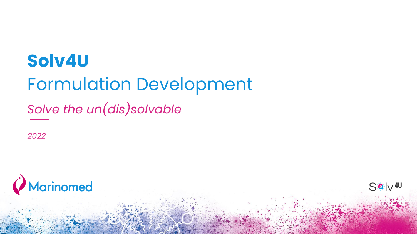# **Solv4U**  Formulation Development

*Solve the un(dis)solvable*

*2022*



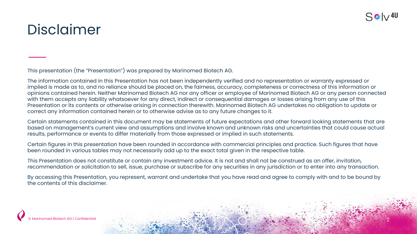

### Disclaimer

This presentation (the "Presentation") was prepared by Marinomed Biotech AG.

The information contained in this Presentation has not been independently verified and no representation or warranty expressed or implied is made as to, and no reliance should be placed on, the fairness, accuracy, completeness or correctness of this information or opinions contained herein. Neither Marinomed Biotech AG nor any officer or employee of Marinomed Biotech AG or any person connected with them accepts any liability whatsoever for any direct, indirect or consequential damages or losses arising from any use of this Presentation or its contents or otherwise arising in connection therewith. Marinomed Biotech AG undertakes no obligation to update or correct any information contained herein or to otherwise advise as to any future changes to it.

Certain statements contained in this document may be statements of future expectations and other forward looking statements that are based on management's current view and assumptions and involve known and unknown risks and uncertainties that could cause actual results, performance or events to differ materially from those expressed or implied in such statements.

Certain figures in this presentation have been rounded in accordance with commercial principles and practice. Such figures that have been rounded in various tables may not necessarily add up to the exact total given in the respective table.

This Presentation does not constitute or contain any investment advice. It is not and shall not be construed as an offer, invitation, recommendation or solicitation to sell, issue, purchase or subscribe for any securities in any jurisdiction or to enter into any transaction.

By accessing this Presentation, you represent, warrant and undertake that you have read and agree to comply with and to be bound by the contents of this disclaimer.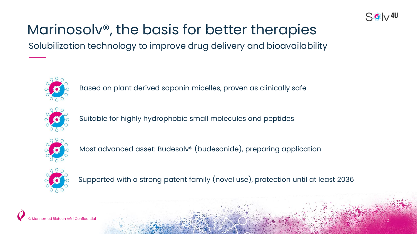

# Marinosolv®, the basis for better therapies

Solubilization technology to improve drug delivery and bioavailability



Based on plant derived saponin micelles, proven as clinically safe



Suitable for highly hydrophobic small molecules and peptides



Most advanced asset: Budesolv® (budesonide), preparing application



Supported with a strong patent family (novel use), protection until at least 2036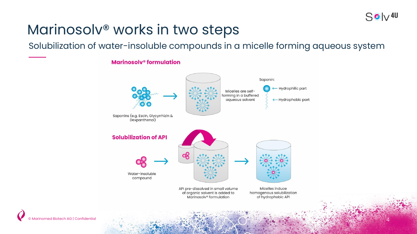### $S$  o  $\sqrt{40}$

4

### Marinosolv® works in two steps

Solubilization of water-insoluble compounds in a micelle forming aqueous system

### **Marinosolv<sup>®</sup> formulation**

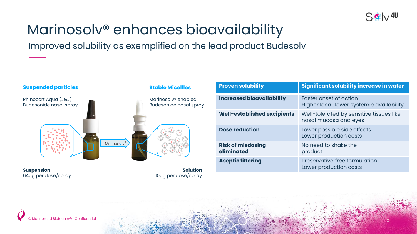

## Marinosolv® enhances bioavailability

Improved solubility as exemplified on the lead product Budesolv



**Suspension** 64µg per dose/spray

**Solution** 10µg per dose/spray

| <b>Proven solubility</b>               | <b>Significant solubility increase in water</b>                     |  |
|----------------------------------------|---------------------------------------------------------------------|--|
| <b>Increased bioavailability</b>       | Faster onset of action<br>Higher local, lower systemic availability |  |
| Well-established excipients            | Well-tolerated by sensitive tissues like<br>nasal mucosa and eyes   |  |
| <b>Dose reduction</b>                  | Lower possible side effects<br>Lower production costs               |  |
| <b>Risk of misdosing</b><br>eliminated | No need to shake the<br>product                                     |  |
| <b>Aseptic filtering</b>               | Preservative free formulation<br>Lower production costs             |  |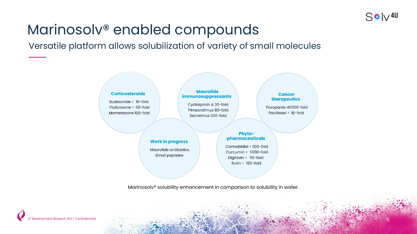

6

### Marinosolv® enabled compounds

Versatile platform allows solubilization of variety of small molecules



Marinosolv® solubility enhancement in comparison to solubility in water.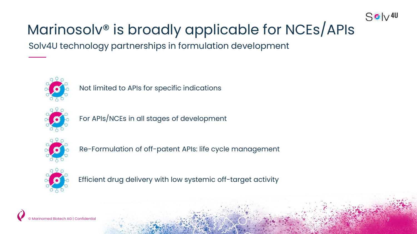

# Marinosolv® is broadly applicable for NCEs/APIs

Solv4U technology partnerships in formulation development



Not limited to APIs for specific indications



For APIs/NCEs in all stages of development



Re-Formulation of off-patent APIs: life cycle management



Efficient drug delivery with low systemic off-target activity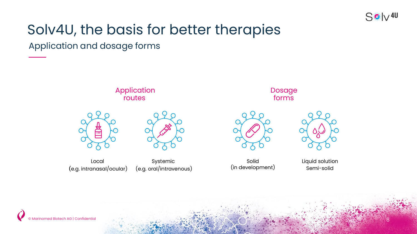

8

## Solv4U, the basis for better therapies

Application and dosage forms

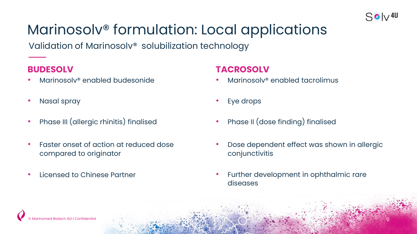

# Marinosolv® formulation: Local applications

Validation of Marinosolv® solubilization technology

### **BUDESOLV**

- Marinosolv® enabled budesonide
- Nasal spray
- Phase III (allergic rhinitis) finalised
- Faster onset of action at reduced dose compared to originator
- Licensed to Chinese Partner

### **TACROSOLV**

- Marinosolv® enabled tacrolimus
- Eye drops
- Phase II (dose finding) finalised
- Dose dependent effect was shown in allergic conjunctivitis
- Further development in ophthalmic rare diseases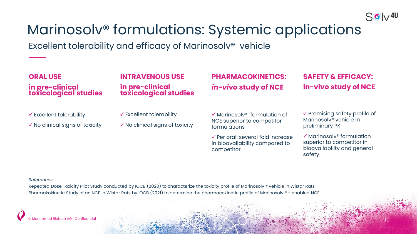

10

## Marinosolv® formulations: Systemic applications

Excellent tolerability and efficacy of Marinosolv® vehicle

| <b>ORAL USE</b><br>in pre-clinical<br>toxicological studies                       | <b>INTRAVENOUS USE</b><br>in pre-clinical<br>toxicological studies                | <b>PHARMACOKINETICS:</b><br>in-vivo study of NCE                                                  | <b>SAFETY &amp; EFFICACY:</b><br>in-vivo study of NCE                                                      |
|-----------------------------------------------------------------------------------|-----------------------------------------------------------------------------------|---------------------------------------------------------------------------------------------------|------------------------------------------------------------------------------------------------------------|
| $\checkmark$ Excellent tolerability<br>$\checkmark$ No clinical signs of toxicity | $\checkmark$ Excellent tolerability<br>$\checkmark$ No clinical signs of toxicity | $\checkmark$ Marinosolv <sup>®</sup> formulation of<br>NCE superior to competitor<br>formulations | $\checkmark$ Promising safety profile of<br>Marinosolv <sup>®</sup> vehicle in<br>preliminary PK           |
|                                                                                   |                                                                                   | $\checkmark$ Per oral: several fold increase<br>in bioavailability compared to<br>competitor      | $\checkmark$ Marinosolv® formulation<br>superior to competitor in<br>bioavailability and general<br>safety |
| References:                                                                       |                                                                                   |                                                                                                   |                                                                                                            |

Repeated Dose Toxicity Pilot Study conducted by IOCB (2020) to characterize the toxicity profile of Marinosolv ® vehicle in Wistar Rats Pharmakokinetic Study of an NCE in Wistar Rats by IOCB (2021) to determine the pharmacokinetic profile of Marinosolv ® - enabled NCE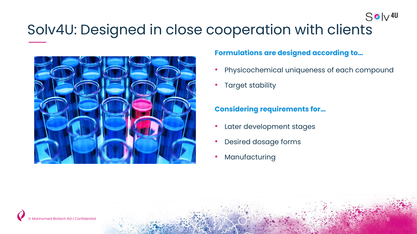# Solv4U: Designed in close cooperation with clients



#### **Formulations are designed according to…**

• Physicochemical uniqueness of each compound

 $S$   $\phi$   $\sqrt{40}$ 

Target stability

### **Considering requirements for…**

- Later development stages
- Desired dosage forms
- **Manufacturing**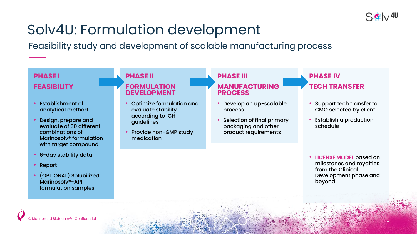

### Solv4U: Formulation development

Feasibility study and development of scalable manufacturing process

#### **PHASE I FEASIBILITY**

- Establishment of analytical method
- Design, prepare and evaluate of 30 different combinations of Marinosolv® formulation with target compound
- 6-day stability data
- Report
- (OPTIONAL) Solubilized Marinosolv®-API formulation samples

#### **PHASE II FORMULATION DEVELOPMENT**

- Optimize formulation and evaluate stability according to ICH guidelines
- Provide non-GMP study medication

#### **PHASE III MANUFACTURING PROCESS**

- Develop an up-scalable process
- Selection of final primary packaging and other product requirements

### **PHASE IV TECH TRANSFER**

- Support tech transfer to CMO selected by client
- Establish a production schedule

• LICENSE MODEL based on milestones and royalties from the Clinical Development phase and beyond